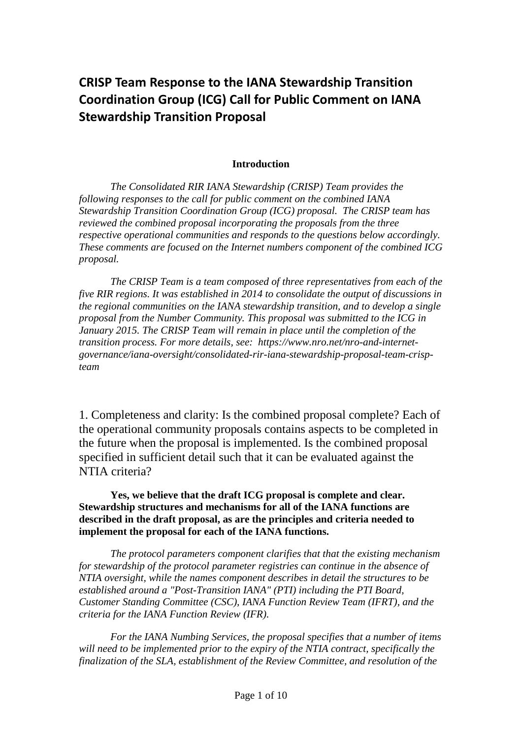## **CRISP Team Response to the IANA Stewardship Transition Coordination Group (ICG) Call for Public Comment on IANA Stewardship Transition Proposal**

## **Introduction**

*The Consolidated RIR IANA Stewardship (CRISP) Team provides the following responses to the call for public comment on the combined IANA Stewardship Transition Coordination Group (ICG) proposal. The CRISP team has reviewed the combined proposal incorporating the proposals from the three respective operational communities and responds to the questions below accordingly. These comments are focused on the Internet numbers component of the combined ICG proposal.*

*The CRISP Team is a team composed of three representatives from each of the five RIR regions. It was established in 2014 to consolidate the output of discussions in the regional communities on the IANA stewardship transition, and to develop a single proposal from the Number Community. This proposal was submitted to the ICG in January 2015. The CRISP Team will remain in place until the completion of the transition process. For more details, see: https://www.nro.net/nro-and-internetgovernance/iana-oversight/consolidated-rir-iana-stewardship-proposal-team-crispteam*

1. Completeness and clarity: Is the combined proposal complete? Each of the operational community proposals contains aspects to be completed in the future when the proposal is implemented. Is the combined proposal specified in sufficient detail such that it can be evaluated against the NTIA criteria?

**Yes, we believe that the draft ICG proposal is complete and clear. Stewardship structures and mechanisms for all of the IANA functions are described in the draft proposal, as are the principles and criteria needed to implement the proposal for each of the IANA functions.**

*The protocol parameters component clarifies that that the existing mechanism for stewardship of the protocol parameter registries can continue in the absence of NTIA oversight, while the names component describes in detail the structures to be established around a "Post-Transition IANA" (PTI) including the PTI Board, Customer Standing Committee (CSC), IANA Function Review Team (IFRT), and the criteria for the IANA Function Review (IFR).*

*For the IANA Numbing Services, the proposal specifies that a number of items will need to be implemented prior to the expiry of the NTIA contract, specifically the finalization of the SLA, establishment of the Review Committee, and resolution of the*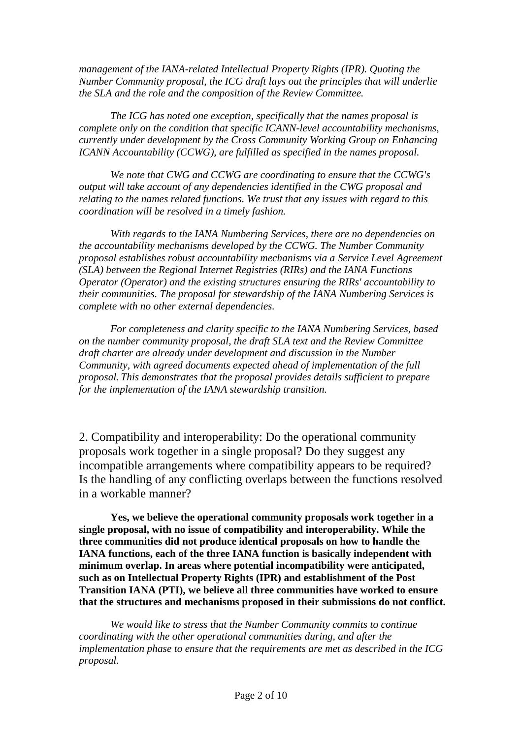*management of the IANA-related Intellectual Property Rights (IPR). Quoting the Number Community proposal, the ICG draft lays out the principles that will underlie the SLA and the role and the composition of the Review Committee.* 

*The ICG has noted one exception, specifically that the names proposal is complete only on the condition that specific ICANN-level accountability mechanisms, currently under development by the Cross Community Working Group on Enhancing ICANN Accountability (CCWG), are fulfilled as specified in the names proposal.*

*We note that CWG and CCWG are coordinating to ensure that the CCWG's output will take account of any dependencies identified in the CWG proposal and relating to the names related functions. We trust that any issues with regard to this coordination will be resolved in a timely fashion.*

*With regards to the IANA Numbering Services, there are no dependencies on the accountability mechanisms developed by the CCWG. The Number Community proposal establishes robust accountability mechanisms via a Service Level Agreement (SLA) between the Regional Internet Registries (RIRs) and the IANA Functions Operator (Operator) and the existing structures ensuring the RIRs' accountability to their communities. The proposal for stewardship of the IANA Numbering Services is complete with no other external dependencies.*

*For completeness and clarity specific to the IANA Numbering Services, based on the number community proposal, the draft SLA text and the Review Committee draft charter are already under development and discussion in the Number Community, with agreed documents expected ahead of implementation of the full proposal. This demonstrates that the proposal provides details sufficient to prepare for the implementation of the IANA stewardship transition.*

2. Compatibility and interoperability: Do the operational community proposals work together in a single proposal? Do they suggest any incompatible arrangements where compatibility appears to be required? Is the handling of any conflicting overlaps between the functions resolved in a workable manner?

**Yes, we believe the operational community proposals work together in a single proposal, with no issue of compatibility and interoperability. While the three communities did not produce identical proposals on how to handle the IANA functions, each of the three IANA function is basically independent with minimum overlap. In areas where potential incompatibility were anticipated, such as on Intellectual Property Rights (IPR) and establishment of the Post Transition IANA (PTI), we believe all three communities have worked to ensure that the structures and mechanisms proposed in their submissions do not conflict.** 

*We would like to stress that the Number Community commits to continue coordinating with the other operational communities during, and after the implementation phase to ensure that the requirements are met as described in the ICG proposal.*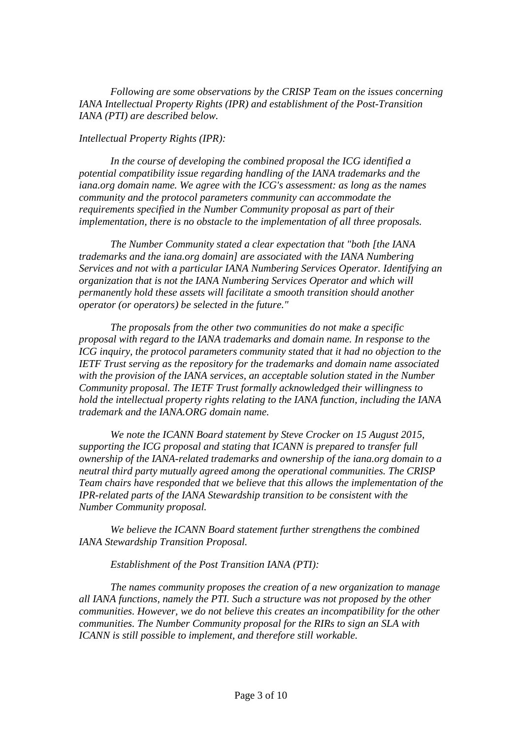*Following are some observations by the CRISP Team on the issues concerning IANA Intellectual Property Rights (IPR) and establishment of the Post-Transition IANA (PTI) are described below.*

## *Intellectual Property Rights (IPR):*

*In the course of developing the combined proposal the ICG identified a potential compatibility issue regarding handling of the IANA trademarks and the iana.org domain name. We agree with the ICG's assessment: as long as the names community and the protocol parameters community can accommodate the requirements specified in the Number Community proposal as part of their implementation, there is no obstacle to the implementation of all three proposals.* 

*The Number Community stated a clear expectation that "both [the IANA trademarks and the iana.org domain] are associated with the IANA Numbering Services and not with a particular IANA Numbering Services Operator. Identifying an organization that is not the IANA Numbering Services Operator and which will permanently hold these assets will facilitate a smooth transition should another operator (or operators) be selected in the future."* 

*The proposals from the other two communities do not make a specific proposal with regard to the IANA trademarks and domain name. In response to the ICG inquiry, the protocol parameters community stated that it had no objection to the IETF Trust serving as the repository for the trademarks and domain name associated with the provision of the IANA services, an acceptable solution stated in the Number Community proposal. The IETF Trust formally acknowledged their willingness to hold the intellectual property rights relating to the IANA function, including the IANA trademark and the IANA.ORG domain name.* 

*We note the ICANN Board statement by Steve Crocker on 15 August 2015, supporting the ICG proposal and stating that ICANN is prepared to transfer full ownership of the IANA-related trademarks and ownership of the iana.org domain to a neutral third party mutually agreed among the operational communities. The CRISP Team chairs have responded that we believe that this allows the implementation of the IPR-related parts of the IANA Stewardship transition to be consistent with the Number Community proposal.* 

*We believe the ICANN Board statement further strengthens the combined IANA Stewardship Transition Proposal.*

## *Establishment of the Post Transition IANA (PTI):*

*The names community proposes the creation of a new organization to manage all IANA functions, namely the PTI. Such a structure was not proposed by the other communities. However, we do not believe this creates an incompatibility for the other communities. The Number Community proposal for the RIRs to sign an SLA with ICANN is still possible to implement, and therefore still workable.*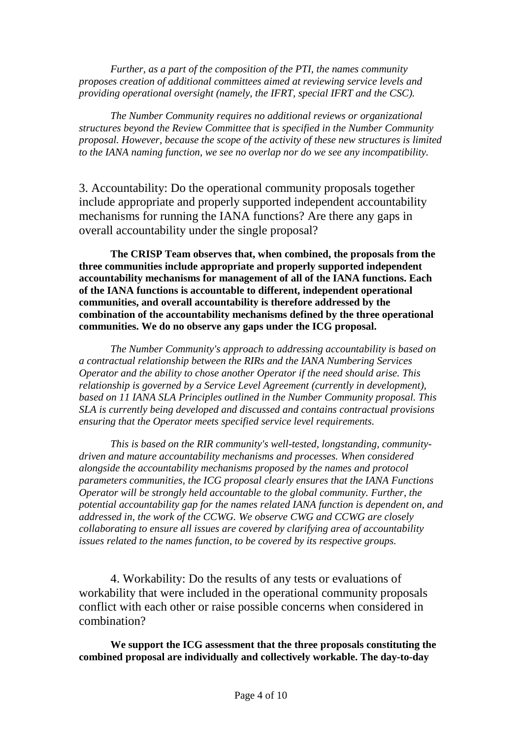*Further, as a part of the composition of the PTI, the names community proposes creation of additional committees aimed at reviewing service levels and providing operational oversight (namely, the IFRT, special IFRT and the CSC).* 

*The Number Community requires no additional reviews or organizational structures beyond the Review Committee that is specified in the Number Community proposal. However, because the scope of the activity of these new structures is limited to the IANA naming function, we see no overlap nor do we see any incompatibility.*

3. Accountability: Do the operational community proposals together include appropriate and properly supported independent accountability mechanisms for running the IANA functions? Are there any gaps in overall accountability under the single proposal?

**The CRISP Team observes that, when combined, the proposals from the three communities include appropriate and properly supported independent accountability mechanisms for management of all of the IANA functions. Each of the IANA functions is accountable to different, independent operational communities, and overall accountability is therefore addressed by the combination of the accountability mechanisms defined by the three operational communities. We do no observe any gaps under the ICG proposal.**

*The Number Community's approach to addressing accountability is based on a contractual relationship between the RIRs and the IANA Numbering Services Operator and the ability to chose another Operator if the need should arise. This relationship is governed by a Service Level Agreement (currently in development), based on 11 IANA SLA Principles outlined in the Number Community proposal. This SLA is currently being developed and discussed and contains contractual provisions ensuring that the Operator meets specified service level requirements.*

*This is based on the RIR community's well-tested, longstanding, communitydriven and mature accountability mechanisms and processes. When considered alongside the accountability mechanisms proposed by the names and protocol parameters communities, the ICG proposal clearly ensures that the IANA Functions Operator will be strongly held accountable to the global community. Further, the potential accountability gap for the names related IANA function is dependent on, and addressed in, the work of the CCWG. We observe CWG and CCWG are closely collaborating to ensure all issues are covered by clarifying area of accountability issues related to the names function, to be covered by its respective groups.*

4. Workability: Do the results of any tests or evaluations of workability that were included in the operational community proposals conflict with each other or raise possible concerns when considered in combination?

**We support the ICG assessment that the three proposals constituting the combined proposal are individually and collectively workable. The day-to-day**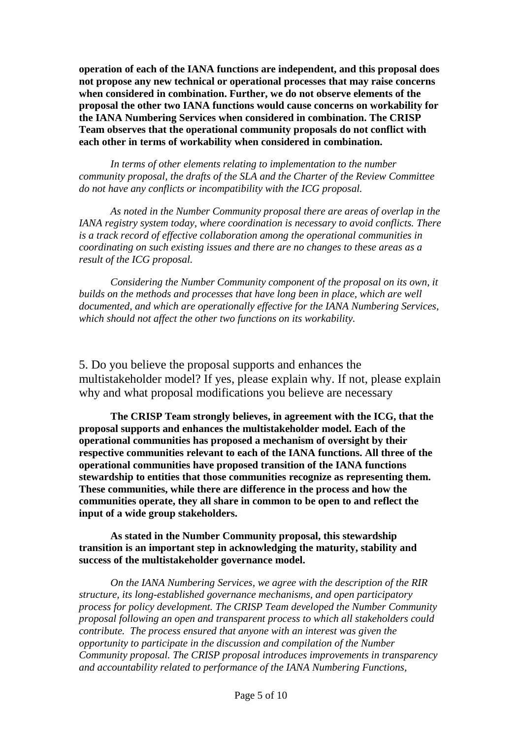**operation of each of the IANA functions are independent, and this proposal does not propose any new technical or operational processes that may raise concerns when considered in combination. Further, we do not observe elements of the proposal the other two IANA functions would cause concerns on workability for the IANA Numbering Services when considered in combination. The CRISP Team observes that the operational community proposals do not conflict with each other in terms of workability when considered in combination.**

*In terms of other elements relating to implementation to the number community proposal, the drafts of the SLA and the Charter of the Review Committee do not have any conflicts or incompatibility with the ICG proposal.*

*As noted in the Number Community proposal there are areas of overlap in the IANA registry system today, where coordination is necessary to avoid conflicts. There is a track record of effective collaboration among the operational communities in coordinating on such existing issues and there are no changes to these areas as a result of the ICG proposal.*

*Considering the Number Community component of the proposal on its own, it builds on the methods and processes that have long been in place, which are well documented, and which are operationally effective for the IANA Numbering Services, which should not affect the other two functions on its workability.* 

5. Do you believe the proposal supports and enhances the multistakeholder model? If yes, please explain why. If not, please explain why and what proposal modifications you believe are necessary

**The CRISP Team strongly believes, in agreement with the ICG, that the proposal supports and enhances the multistakeholder model. Each of the operational communities has proposed a mechanism of oversight by their respective communities relevant to each of the IANA functions. All three of the operational communities have proposed transition of the IANA functions stewardship to entities that those communities recognize as representing them. These communities, while there are difference in the process and how the communities operate, they all share in common to be open to and reflect the input of a wide group stakeholders.**

**As stated in the Number Community proposal, this stewardship transition is an important step in acknowledging the maturity, stability and success of the multistakeholder governance model.**

*On the IANA Numbering Services, we agree with the description of the RIR structure, its long-established governance mechanisms, and open participatory process for policy development. The CRISP Team developed the Number Community proposal following an open and transparent process to which all stakeholders could contribute. The process ensured that anyone with an interest was given the opportunity to participate in the discussion and compilation of the Number Community proposal. The CRISP proposal introduces improvements in transparency and accountability related to performance of the IANA Numbering Functions,*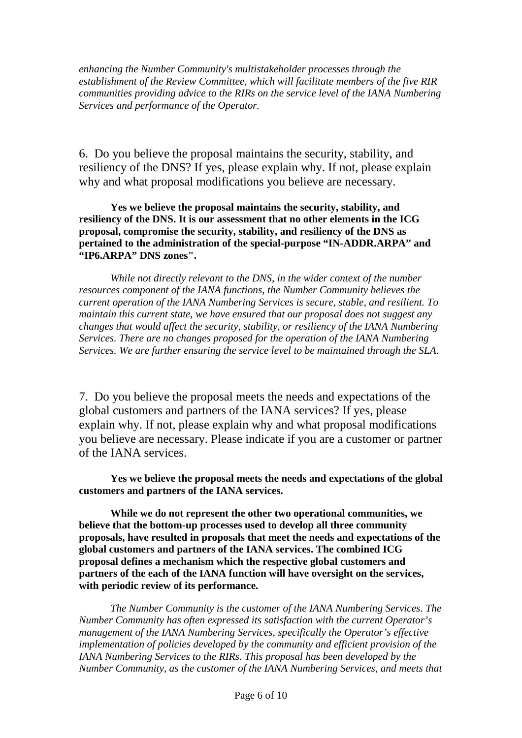*enhancing the Number Community's multistakeholder processes through the establishment of the Review Committee, which will facilitate members of the five RIR communities providing advice to the RIRs on the service level of the IANA Numbering Services and performance of the Operator.* 

6. Do you believe the proposal maintains the security, stability, and resiliency of the DNS? If yes, please explain why. If not, please explain why and what proposal modifications you believe are necessary.

**Yes we believe the proposal maintains the security, stability, and resiliency of the DNS. It is our assessment that no other elements in the ICG proposal, compromise the security, stability, and resiliency of the DNS as pertained to the administration of the special-purpose "IN-ADDR.ARPA" and "IP6.ARPA" DNS zones".**

*While not directly relevant to the DNS, in the wider context of the number resources component of the IANA functions, the Number Community believes the current operation of the IANA Numbering Services is secure, stable, and resilient. To maintain this current state, we have ensured that our proposal does not suggest any changes that would affect the security, stability, or resiliency of the IANA Numbering Services. There are no changes proposed for the operation of the IANA Numbering Services. We are further ensuring the service level to be maintained through the SLA*.

7. Do you believe the proposal meets the needs and expectations of the global customers and partners of the IANA services? If yes, please explain why. If not, please explain why and what proposal modifications you believe are necessary. Please indicate if you are a customer or partner of the IANA services.

**Yes we believe the proposal meets the needs and expectations of the global customers and partners of the IANA services.**

**While we do not represent the other two operational communities, we believe that the bottom-up processes used to develop all three community proposals, have resulted in proposals that meet the needs and expectations of the global customers and partners of the IANA services. The combined ICG proposal defines a mechanism which the respective global customers and partners of the each of the IANA function will have oversight on the services, with periodic review of its performance.**

*The Number Community is the customer of the IANA Numbering Services. The Number Community has often expressed its satisfaction with the current Operator's management of the IANA Numbering Services, specifically the Operator's effective implementation of policies developed by the community and efficient provision of the IANA Numbering Services to the RIRs. This proposal has been developed by the Number Community, as the customer of the IANA Numbering Services, and meets that*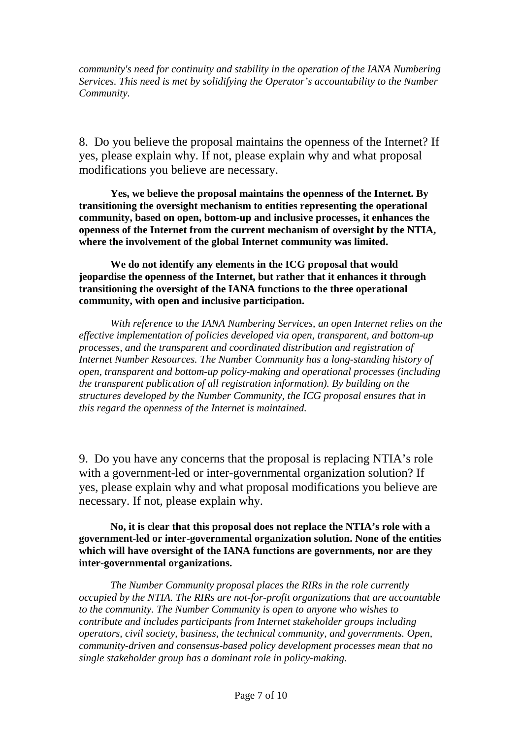*community's need for continuity and stability in the operation of the IANA Numbering Services. This need is met by solidifying the Operator's accountability to the Number Community.*

8. Do you believe the proposal maintains the openness of the Internet? If yes, please explain why. If not, please explain why and what proposal modifications you believe are necessary.

**Yes, we believe the proposal maintains the openness of the Internet. By transitioning the oversight mechanism to entities representing the operational community, based on open, bottom-up and inclusive processes, it enhances the openness of the Internet from the current mechanism of oversight by the NTIA, where the involvement of the global Internet community was limited.**

**We do not identify any elements in the ICG proposal that would jeopardise the openness of the Internet, but rather that it enhances it through transitioning the oversight of the IANA functions to the three operational community, with open and inclusive participation.**

*With reference to the IANA Numbering Services, an open Internet relies on the effective implementation of policies developed via open, transparent, and bottom-up processes, and the transparent and coordinated distribution and registration of Internet Number Resources. The Number Community has a long-standing history of open, transparent and bottom-up policy-making and operational processes (including the transparent publication of all registration information). By building on the structures developed by the Number Community, the ICG proposal ensures that in this regard the openness of the Internet is maintained.*

9. Do you have any concerns that the proposal is replacing NTIA's role with a government-led or inter-governmental organization solution? If yes, please explain why and what proposal modifications you believe are necessary. If not, please explain why.

**No, it is clear that this proposal does not replace the NTIA's role with a government-led or inter-governmental organization solution. None of the entities which will have oversight of the IANA functions are governments, nor are they inter-governmental organizations.** 

*The Number Community proposal places the RIRs in the role currently occupied by the NTIA. The RIRs are not-for-profit organizations that are accountable to the community. The Number Community is open to anyone who wishes to contribute and includes participants from Internet stakeholder groups including operators, civil society, business, the technical community, and governments. Open, community-driven and consensus-based policy development processes mean that no single stakeholder group has a dominant role in policy-making.*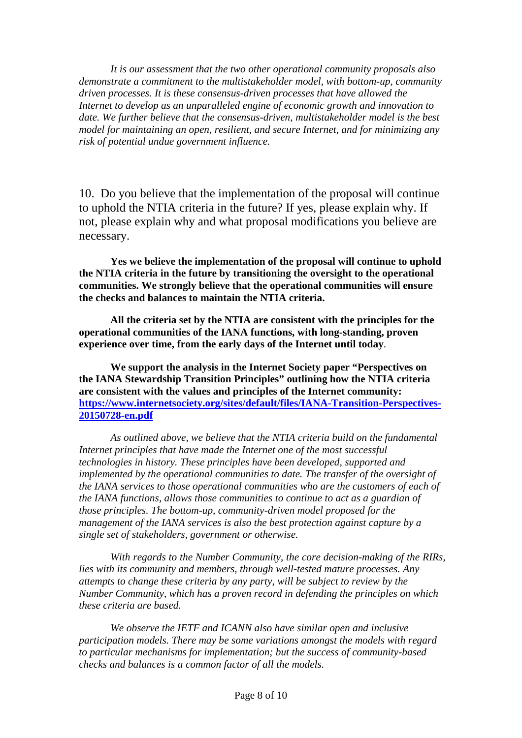*It is our assessment that the two other operational community proposals also demonstrate a commitment to the multistakeholder model, with bottom-up, community driven processes. It is these consensus-driven processes that have allowed the Internet to develop as an unparalleled engine of economic growth and innovation to date. We further believe that the consensus-driven, multistakeholder model is the best model for maintaining an open, resilient, and secure Internet, and for minimizing any risk of potential undue government influence.* 

10. Do you believe that the implementation of the proposal will continue to uphold the NTIA criteria in the future? If yes, please explain why. If not, please explain why and what proposal modifications you believe are necessary.

**Yes we believe the implementation of the proposal will continue to uphold the NTIA criteria in the future by transitioning the oversight to the operational communities. We strongly believe that the operational communities will ensure the checks and balances to maintain the NTIA criteria.**

**All the criteria set by the NTIA are consistent with the principles for the operational communities of the IANA functions, with long-standing, proven experience over time, from the early days of the Internet until today**.

**We support the analysis in the Internet Society paper "Perspectives on the IANA Stewardship Transition Principles" outlining how the NTIA criteria are consistent with the values and principles of the Internet community: [https://www.internetsociety.org/sites/default/files/IANA-Transition-Perspectives-](https://www.internetsociety.org/sites/default/files/IANA-Transition-Perspectives-20150728-en.pdf)[20150728-en.pdf](https://www.internetsociety.org/sites/default/files/IANA-Transition-Perspectives-20150728-en.pdf)**

*As outlined above, we believe that the NTIA criteria build on the fundamental Internet principles that have made the Internet one of the most successful technologies in history. These principles have been developed, supported and implemented by the operational communities to date. The transfer of the oversight of the IANA services to those operational communities who are the customers of each of the IANA functions, allows those communities to continue to act as a guardian of those principles. The bottom-up, community-driven model proposed for the management of the IANA services is also the best protection against capture by a single set of stakeholders, government or otherwise.*

*With regards to the Number Community, the core decision-making of the RIRs, lies with its community and members, through well-tested mature processes. Any attempts to change these criteria by any party, will be subject to review by the Number Community, which has a proven record in defending the principles on which these criteria are based.* 

*We observe the IETF and ICANN also have similar open and inclusive participation models. There may be some variations amongst the models with regard to particular mechanisms for implementation; but the success of community-based checks and balances is a common factor of all the models.*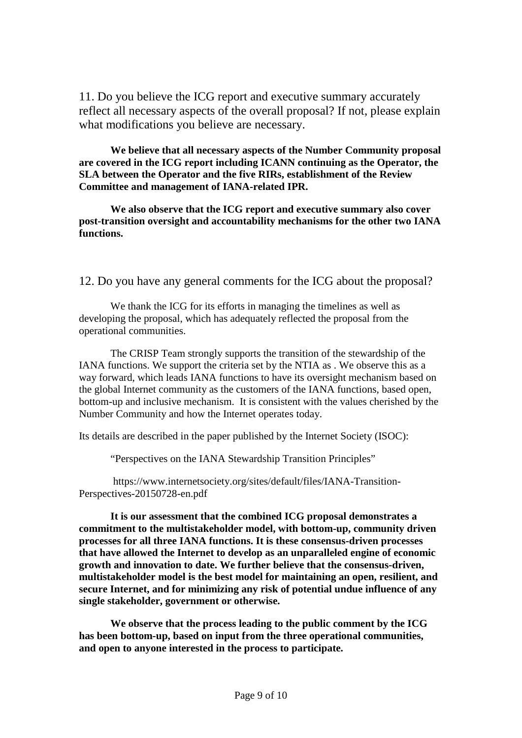11. Do you believe the ICG report and executive summary accurately reflect all necessary aspects of the overall proposal? If not, please explain what modifications you believe are necessary.

**We believe that all necessary aspects of the Number Community proposal are covered in the ICG report including ICANN continuing as the Operator, the SLA between the Operator and the five RIRs, establishment of the Review Committee and management of IANA-related IPR.**

**We also observe that the ICG report and executive summary also cover post-transition oversight and accountability mechanisms for the other two IANA functions.**

12. Do you have any general comments for the ICG about the proposal?

We thank the ICG for its efforts in managing the timelines as well as developing the proposal, which has adequately reflected the proposal from the operational communities.

The CRISP Team strongly supports the transition of the stewardship of the IANA functions. We support the criteria set by the NTIA as . We observe this as a way forward, which leads IANA functions to have its oversight mechanism based on the global Internet community as the customers of the IANA functions, based open, bottom-up and inclusive mechanism. It is consistent with the values cherished by the Number Community and how the Internet operates today.

Its details are described in the paper published by the Internet Society (ISOC):

"Perspectives on the IANA Stewardship Transition Principles"

https://www.internetsociety.org/sites/default/files/IANA-Transition-Perspectives-20150728-en.pdf

**It is our assessment that the combined ICG proposal demonstrates a commitment to the multistakeholder model, with bottom-up, community driven processes for all three IANA functions. It is these consensus-driven processes that have allowed the Internet to develop as an unparalleled engine of economic growth and innovation to date. We further believe that the consensus-driven, multistakeholder model is the best model for maintaining an open, resilient, and secure Internet, and for minimizing any risk of potential undue influence of any single stakeholder, government or otherwise.** 

**We observe that the process leading to the public comment by the ICG has been bottom-up, based on input from the three operational communities, and open to anyone interested in the process to participate.**